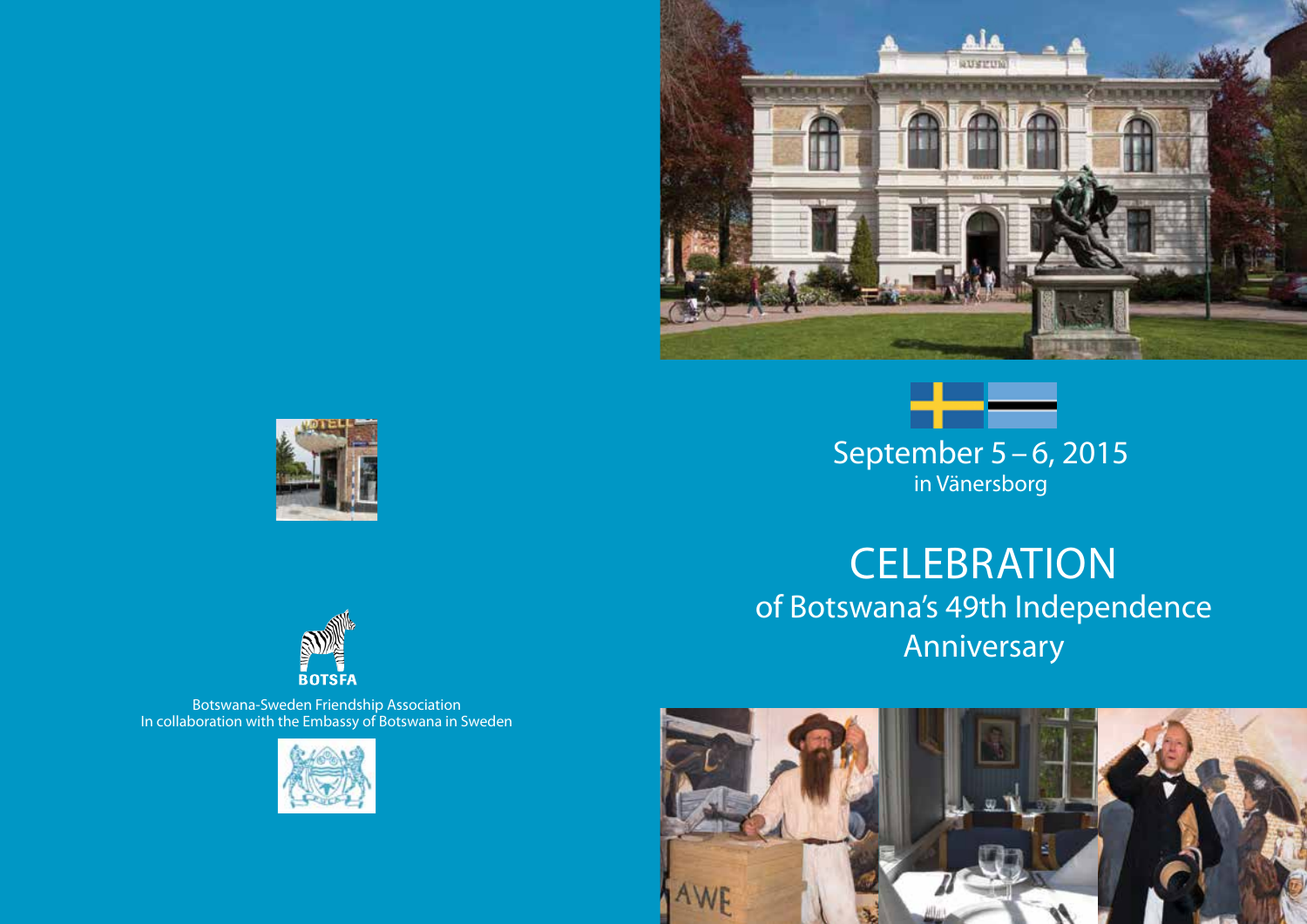



**CELEBRATION** of Botswana's 49th Independence Anniversary







Botswana-Sweden Friendship Association In collaboration with the Embassy of Botswana in Sweden